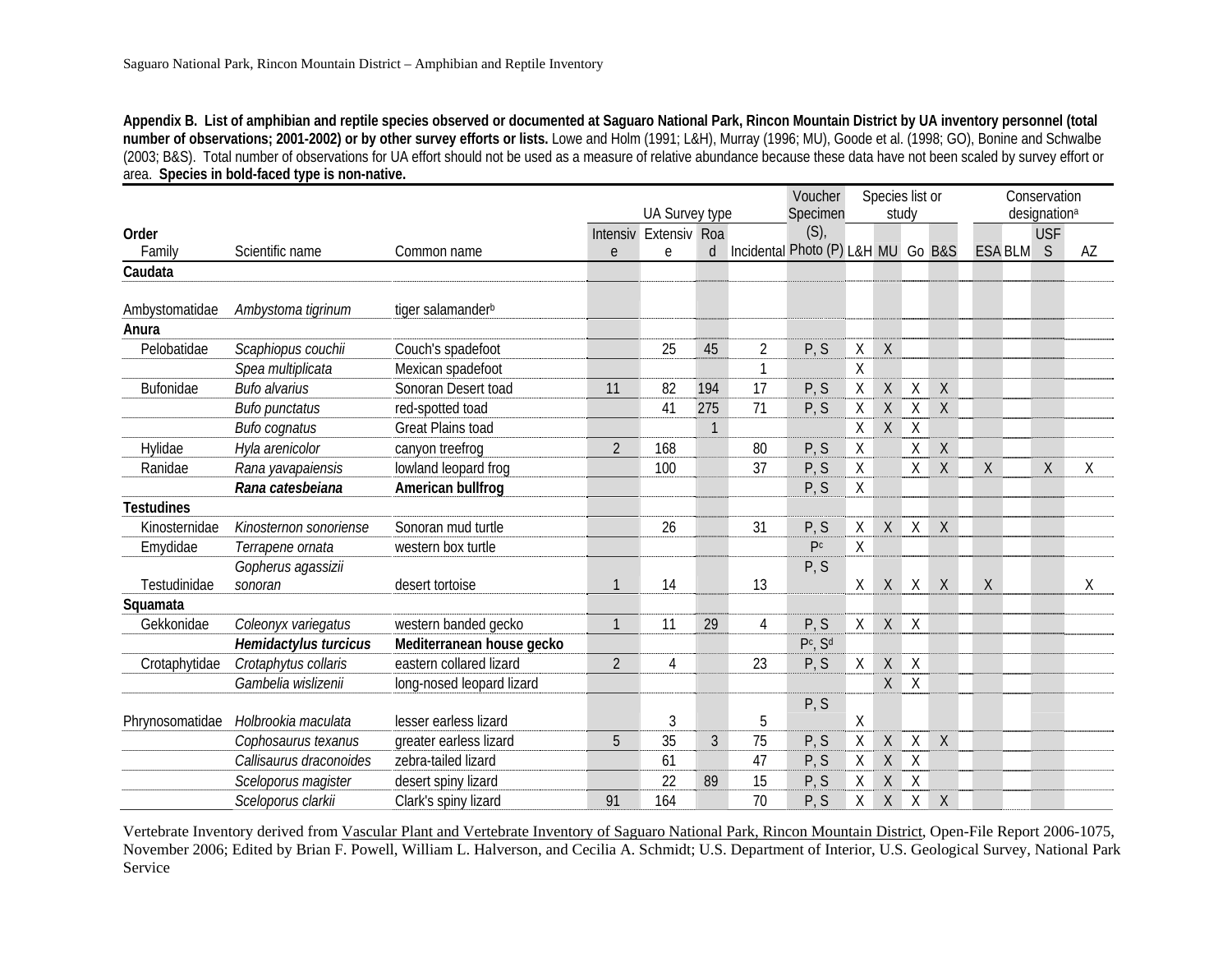**Appendix B. List of amphibian and reptile species observed or documented at Saguaro National Park, Rincon Mountain District by UA inventory personnel (total number of observations; 2001-2002) or by other survey efforts or lists.** Lowe and Holm (1991; L&H), Murray (1996; MU), Goode et al. (1998; GO), Bonine and Schwalbe (2003; B&S). Total number of observations for UA effort should not be used as a measure of relative abundance because these data have not been scaled by survey effort or area. **Species in bold-faced type is non-native.** 

|                   |                         |                               |                | Voucher        | Species list or |                |                                    |        |              | Conservation |                          |                |            |    |
|-------------------|-------------------------|-------------------------------|----------------|----------------|-----------------|----------------|------------------------------------|--------|--------------|--------------|--------------------------|----------------|------------|----|
|                   |                         |                               |                | UA Survey type |                 |                | Specimen                           | study  |              |              | designation <sup>a</sup> |                |            |    |
| Order             |                         |                               | Intensiv       | Extensiv Roa   |                 |                | $(S)$ ,                            |        |              |              |                          |                | <b>USF</b> |    |
| Family            | Scientific name         | Common name                   | e              | e              | d               |                | Incidental Photo (P) L&H MU Go B&S |        |              |              |                          | <b>ESA BLM</b> | S          | AZ |
| Caudata           |                         |                               |                |                |                 |                |                                    |        |              |              |                          |                |            |    |
|                   |                         |                               |                |                |                 |                |                                    |        |              |              |                          |                |            |    |
| Ambystomatidae    | Ambystoma tigrinum      | tiger salamander <sup>b</sup> |                |                |                 |                |                                    |        |              |              |                          |                |            |    |
| Anura             |                         |                               |                |                |                 |                |                                    |        |              |              |                          |                |            |    |
| Pelobatidae       | Scaphiopus couchii      | Couch's spadefoot             |                | 25             | 45              | $\overline{2}$ | P, S                               | X      | $\mathsf{X}$ |              |                          |                |            |    |
|                   | Spea multiplicata       | Mexican spadefoot             |                |                |                 | 1              |                                    | $\chi$ |              |              |                          |                |            |    |
| Bufonidae         | <b>Bufo alvarius</b>    | Sonoran Desert toad           | 11             | 82             | 194             | 17             | P, S                               | Χ      | X            | $\chi$       | X                        |                |            |    |
|                   | <b>Bufo punctatus</b>   | red-spotted toad              |                | 41             | 275             | 71             | P, S                               | Χ      | $\mathsf{X}$ | $\mathsf X$  | $\sf X$                  |                |            |    |
|                   | <b>Bufo cognatus</b>    | <b>Great Plains toad</b>      |                |                | $\mathbf{1}$    |                |                                    | Χ      | X            | $\times$     |                          |                |            |    |
| Hylidae           | Hyla arenicolor         | canyon treefrog               | $\overline{2}$ | 168            |                 | 80             | P, S                               | Χ      |              | Χ            | $\sf X$                  |                |            |    |
| Ranidae           | Rana yavapaiensis       | lowland leopard frog          |                | 100            |                 | 37             | P, S                               | Χ      |              | Χ            | $\mathsf X$              | $\sf X$        | $\chi$     | Χ  |
|                   | Rana catesbeiana        | American bullfrog             |                |                |                 |                | P, S                               | Χ      |              |              |                          |                |            |    |
| <b>Testudines</b> |                         |                               |                |                |                 |                |                                    |        |              |              |                          |                |            |    |
| Kinosternidae     | Kinosternon sonoriense  | Sonoran mud turtle            |                | 26             |                 | 31             | P, S                               | Χ      | X            | $\sf X$      | $\sf X$                  |                |            |    |
| Emydidae          | Terrapene ornata        | western box turtle            |                |                |                 |                | P <sup>c</sup>                     | Χ      |              |              |                          |                |            |    |
|                   | Gopherus agassizii      |                               |                |                |                 |                | P, S                               |        |              |              |                          |                |            |    |
| Testudinidae      | sonoran                 | desert tortoise               | $\mathbf{1}$   | 14             |                 | 13             |                                    | χ      | $\mathsf X$  | $\times$     | $\mathsf X$              | $\chi$         |            | χ  |
| Squamata          |                         |                               |                |                |                 |                |                                    |        |              |              |                          |                |            |    |
| Gekkonidae        | Coleonyx variegatus     | western banded gecko          | $\mathbf{1}$   | 11             | 29              | $\overline{4}$ | P, S                               | X      | X            | $\mathsf{X}$ |                          |                |            |    |
|                   | Hemidactylus turcicus   | Mediterranean house gecko     |                |                |                 |                | Pc, Sd                             |        |              |              |                          |                |            |    |
| Crotaphytidae     | Crotaphytus collaris    | eastern collared lizard       | $\overline{2}$ | 4              |                 | 23             | P, S                               | Χ      | X            | $\mathsf{X}$ |                          |                |            |    |
|                   | Gambelia wislizenii     | long-nosed leopard lizard     |                |                |                 |                |                                    |        | X            | $\mathsf{X}$ |                          |                |            |    |
|                   |                         |                               |                |                |                 |                | P, S                               |        |              |              |                          |                |            |    |
| Phrynosomatidae   | Holbrookia maculata     | lesser earless lizard         |                | 3              |                 | 5              |                                    | χ      |              |              |                          |                |            |    |
|                   | Cophosaurus texanus     | greater earless lizard        | 5              | 35             | 3               | 75             | P, S                               | Χ      | X            | $\sf X$      | $\chi$                   |                |            |    |
|                   | Callisaurus draconoides | zebra-tailed lizard           |                | 61             |                 | 47             | P, S                               | Χ      | $\chi$       | $\lambda$    |                          |                |            |    |
|                   | Sceloporus magister     | desert spiny lizard           |                | 22             | 89              | 15             | P, S                               | Χ      | $\sf X$      | $\mathsf{X}$ |                          |                |            |    |
|                   | Sceloporus clarkii      | Clark's spiny lizard          | 91             | 164            |                 | 70             | P, S                               | Χ      | $\mathsf{X}$ | $\sf X$      | $\chi$                   |                |            |    |

Vertebrate Inventory derived from Vascular Plant and Vertebrate Inventory of Saguaro National Park, Rincon Mountain District, Open-File Report 2006-1075, November 2006; Edited by Brian F. Powell, William L. Halverson, and Cecilia A. Schmidt; U.S. Department of Interior, U.S. Geological Survey, National Park Service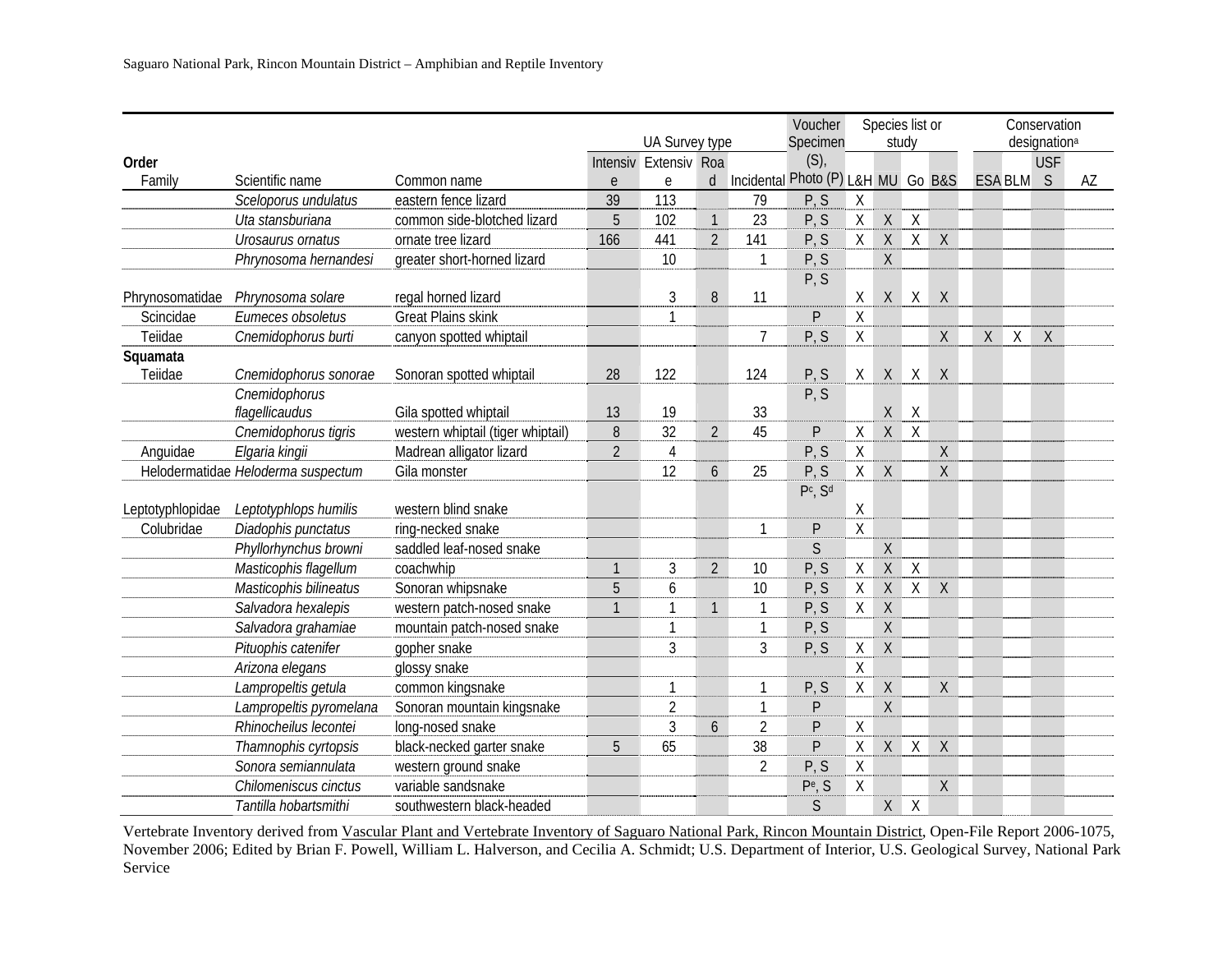|                  |                                    |                                   |                | UA Survey type        |                     |                | Voucher<br>Specimen                |             | Species list or | study            |              | Conservation<br>designation <sup>a</sup> |             |            |    |
|------------------|------------------------------------|-----------------------------------|----------------|-----------------------|---------------------|----------------|------------------------------------|-------------|-----------------|------------------|--------------|------------------------------------------|-------------|------------|----|
| Order            |                                    |                                   |                | Intensiv Extensiv Roa |                     |                | (S)                                |             |                 |                  |              |                                          |             | <b>USF</b> |    |
| Family           | Scientific name                    | Common name                       | $\mathsf{e}$   | $\mathsf{e}$          | $\mathsf{d}$        |                | Incidental Photo (P) L&H MU Go B&S |             |                 |                  |              |                                          | ESA BLM S   |            | AZ |
|                  | Sceloporus undulatus               | eastern fence lizard              | 39             | 113                   |                     | 79             | P, S                               | $\chi$      |                 |                  |              |                                          |             |            |    |
|                  | Uta stansburiana                   | common side-blotched lizard       | 5              | 102                   | $\mathbf{1}$        | 23             | P, S                               | $\mathsf X$ | X               | $\chi$           |              |                                          |             |            |    |
|                  | Urosaurus ornatus                  | ornate tree lizard                | 166            | 441                   | $\overline{2}$      | 141            | P, S                               | $\sf X$     | $\mathsf X$     | $\overline{X}$   | $\sf X$      |                                          |             |            |    |
|                  | Phrynosoma hernandesi              | greater short-horned lizard       |                | 10                    |                     | $\mathbf{1}$   | P, S                               |             | $\mathsf{X}$    |                  |              |                                          |             |            |    |
|                  |                                    |                                   |                |                       |                     |                | P, S                               |             |                 |                  |              |                                          |             |            |    |
| Phrynosomatidae  | Phrynosoma solare                  | regal horned lizard               |                | 3                     | 8                   | 11             |                                    | $\sf X$     | X               | X                | X            |                                          |             |            |    |
| Scincidae        | Eumeces obsoletus                  | <b>Great Plains skink</b>         |                | 1                     |                     |                | P                                  | $\sf X$     |                 |                  |              |                                          |             |            |    |
| Teiidae          | Cnemidophorus burti                | canyon spotted whiptail           |                |                       |                     | $\overline{7}$ | P, S                               | $\sf X$     |                 |                  | Χ            | $\mathsf X$                              | $\mathsf X$ | $\chi$     |    |
| Squamata         |                                    |                                   |                |                       |                     |                |                                    |             |                 |                  |              |                                          |             |            |    |
| Teiidae          | Cnemidophorus sonorae              | Sonoran spotted whiptail          | 28             | 122                   |                     | 124            | P, S                               | X           | X               | $\sf X$          | X            |                                          |             |            |    |
|                  | Cnemidophorus                      |                                   |                |                       |                     |                | P, S                               |             |                 |                  |              |                                          |             |            |    |
|                  | flagellicaudus                     | Gila spotted whiptail             | 13             | 19                    |                     | 33             |                                    |             | $\sf X$         | $\mathsf{X}$     |              |                                          |             |            |    |
|                  | Cnemidophorus tigris               | western whiptail (tiger whiptail) | 8              | 32                    | $\overline{2}$      | 45             | P                                  | Χ           | X               | $\boldsymbol{X}$ |              |                                          |             |            |    |
| Anguidae         | Elgaria kingii                     | Madrean alligator lizard          | $\overline{2}$ | $\overline{4}$        |                     |                | P, S                               | $\sf X$     |                 |                  | X            |                                          |             |            |    |
|                  | Helodermatidae Heloderma suspectum | Gila monster                      |                | 12                    | 6                   | 25             | P, S                               | X           | $\chi$          |                  | $\mathsf{X}$ |                                          |             |            |    |
|                  |                                    |                                   |                |                       |                     |                | $P^c$ , $S^d$                      |             |                 |                  |              |                                          |             |            |    |
| Leptotyphlopidae | Leptotyphlops humilis              | western blind snake               |                |                       |                     |                |                                    | $\mathsf X$ |                 |                  |              |                                          |             |            |    |
| Colubridae       | Diadophis punctatus                | ring-necked snake                 |                |                       |                     | $\mathbf{1}$   | P                                  | $\sf X$     |                 |                  |              |                                          |             |            |    |
|                  | Phyllorhynchus browni              | saddled leaf-nosed snake          |                |                       |                     |                | $\mathsf{S}$                       |             | $\sf X$         |                  |              |                                          |             |            |    |
|                  | Masticophis flagellum              | coachwhip                         | $\mathbf{1}$   | 3                     | $\overline{2}$      | 10             | P, S                               | $\sf X$     | $\mathsf{X}$    | $\chi$           |              |                                          |             |            |    |
|                  | Masticophis bilineatus             | Sonoran whipsnake                 | 5              | 6                     |                     | 10             | P, S                               | X           | X               | X                | $\sf X$      |                                          |             |            |    |
|                  | Salvadora hexalepis                | western patch-nosed snake         |                |                       | $\mathbf{1}$        | $\mathbf{1}$   | P, S                               | $\mathsf X$ | $\sf X$         |                  |              |                                          |             |            |    |
|                  | Salvadora grahamiae                | mountain patch-nosed snake        |                | 1                     |                     | $\mathbf{1}$   | P, S                               |             | $\sf X$         |                  |              |                                          |             |            |    |
|                  | Pituophis catenifer                | gopher snake                      |                | 3                     |                     | $\mathfrak{Z}$ | P, S                               | Χ           | $\sf X$         |                  |              |                                          |             |            |    |
|                  | Arizona elegans                    | glossy snake                      |                |                       |                     |                |                                    | Χ           |                 |                  |              |                                          |             |            |    |
|                  | Lampropeltis getula                | common kingsnake                  |                | 1                     |                     | $\mathbf{1}$   | P, S                               | X           | X               |                  | X            |                                          |             |            |    |
|                  | Lampropeltis pyromelana            | Sonoran mountain kingsnake        |                | $\overline{2}$        |                     | $\mathbf{1}$   | P                                  |             | $\sf X$         |                  |              |                                          |             |            |    |
|                  | Rhinocheilus lecontei              | long-nosed snake                  |                | 3                     | $\ddot{\mathbf{6}}$ | $\overline{2}$ | P                                  | $\sf X$     |                 |                  |              |                                          |             |            |    |
|                  | Thamnophis cyrtopsis               | black-necked garter snake         | 5              | 65                    |                     | 38             | P                                  | $\sf X$     | X               | $\chi$           | $\sf X$      |                                          |             |            |    |
|                  | Sonora semiannulata                | western ground snake              |                |                       |                     | $\overline{2}$ | P, S                               | $\mathsf X$ |                 |                  |              |                                          |             |            |    |
|                  | Chilomeniscus cinctus              | variable sandsnake                |                |                       |                     |                | Pe, S                              | χ           |                 |                  | $\chi$       |                                          |             |            |    |
|                  | Tantilla hobartsmithi              | southwestern black-headed         |                |                       |                     |                | $\mathsf{S}$                       |             | X               | $\boldsymbol{X}$ |              |                                          |             |            |    |

Vertebrate Inventory derived from Vascular Plant and Vertebrate Inventory of Saguaro National Park, Rincon Mountain District, Open-File Report 2006-1075, November 2006; Edited by Brian F. Powell, William L. Halverson, and Cecilia A. Schmidt; U.S. Department of Interior, U.S. Geological Survey, National Park Service